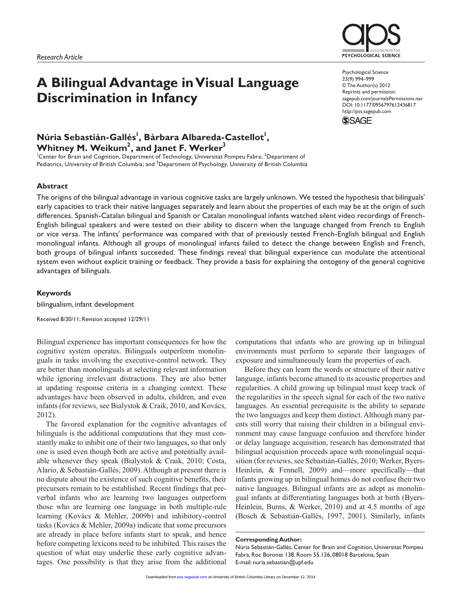# **A Bilingual Advantage in Visual Language Discrimination in Infancy**

# Núria Sebastián-Gallés<sup>!</sup>, Bàrbara Albareda-Castellot<sup>!</sup>, **Whitney M. Weikum2 , and Janet F. Werker3**

<sup>1</sup>Center for Brain and Cognition, Department of Technology, Universitat Pompeu Fabra; <sup>2</sup>Department of Pediatrics, University of British Columbia; and <sup>3</sup>Department of Psychology, University of British Columbia

#### **Abstract**

The origins of the bilingual advantage in various cognitive tasks are largely unknown. We tested the hypothesis that bilinguals' early capacities to track their native languages separately and learn about the properties of each may be at the origin of such differences. Spanish-Catalan bilingual and Spanish or Catalan monolingual infants watched silent video recordings of French-English bilingual speakers and were tested on their ability to discern when the language changed from French to English or vice versa. The infants' performance was compared with that of previously tested French-English bilingual and English monolingual infants. Although all groups of monolingual infants failed to detect the change between English and French, both groups of bilingual infants succeeded. These findings reveal that bilingual experience can modulate the attentional system even without explicit training or feedback. They provide a basis for explaining the ontogeny of the general cognitive advantages of bilinguals.

#### **Keywords**

bilingualism, infant development

Received 8/30/11; Revision accepted 12/29/11

Bilingual experience has important consequences for how the cognitive system operates. Bilinguals outperform monolinguals in tasks involving the executive-control network. They are better than monolinguals at selecting relevant information while ignoring irrelevant distractions. They are also better at updating response criteria in a changing context. These advantages have been observed in adults, children, and even infants (for reviews, see Bialystok & Craik, 2010, and Kovács, 2012).

The favored explanation for the cognitive advantages of bilinguals is the additional computations that they must constantly make to inhibit one of their two languages, so that only one is used even though both are active and potentially available whenever they speak (Bialystok & Craik, 2010; Costa, Alario, & Sebastián-Gallés, 2009). Although at present there is no dispute about the existence of such cognitive benefits, their precursors remain to be established. Recent findings that preverbal infants who are learning two languages outperform those who are learning one language in both multiple-rule learning (Kovács & Mehler, 2009b) and inhibitory-control tasks (Kovács & Mehler, 2009a) indicate that some precursors are already in place before infants start to speak, and hence before competing lexicons need to be inhibited. This raises the question of what may underlie these early cognitive advantages. One possibility is that they arise from the additional computations that infants who are growing up in bilingual environments must perform to separate their languages of exposure and simultaneously learn the properties of each.

Before they can learn the words or structure of their native language, infants become attuned to its acoustic properties and regularities. A child growing up bilingual must keep track of the regularities in the speech signal for each of the two native languages. An essential prerequisite is the ability to separate the two languages and keep them distinct. Although many parents still worry that raising their children in a bilingual environment may cause language confusion and therefore hinder or delay language acquisition, research has demonstrated that bilingual acquisition proceeds apace with monolingual acquisition (for reviews, see Sebastián-Gallés, 2010; Werker, Byers-Heinlein, & Fennell, 2009) and—more specifically—that infants growing up in bilingual homes do not confuse their two native languages. Bilingual infants are as adept as monolingual infants at differentiating languages both at birth (Byers-Heinlein, Burns, & Werker, 2010) and at 4.5 months of age (Bosch & Sebastián-Gallés, 1997, 2001). Similarly, infants

#### **Corresponding Author:**

Núria Sebastián-Gallés, Center for Brain and Cognition, Universitat Pompeu Fabra, Roc Boronat 138, Room 55.126, 08018 Barcelona, Spain E-mail: nuria.sebastian@upf.edu



Psychological Science 23(9) 994–999 © The Author(s) 2012 Reprints and permission: sagepub.com/journalsPermissions.nav DOI: 10.1177/0956797612436817 http://pss.sagepub.com

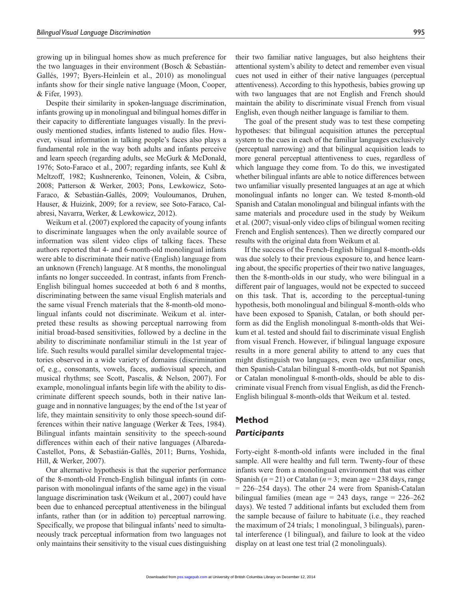growing up in bilingual homes show as much preference for the two languages in their environment (Bosch & Sebastián-Gallés, 1997; Byers-Heinlein et al., 2010) as monolingual infants show for their single native language (Moon, Cooper, & Fifer, 1993).

Despite their similarity in spoken-language discrimination, infants growing up in monolingual and bilingual homes differ in their capacity to differentiate languages visually. In the previously mentioned studies, infants listened to audio files. However, visual information in talking people's faces also plays a fundamental role in the way both adults and infants perceive and learn speech (regarding adults, see McGurk & McDonald, 1976; Soto-Faraco et al., 2007; regarding infants, see Kuhl & Meltzoff, 1982; Kushnerenko, Teinonen, Volein, & Csibra, 2008; Patterson & Werker, 2003; Pons, Lewkowicz, Soto-Faraco, & Sebastián-Gallés, 2009; Vouloumanos, Druhen, Hauser, & Huizink, 2009; for a review, see Soto-Faraco, Calabresi, Navarra, Werker, & Lewkowicz, 2012).

Weikum et al. (2007) explored the capacity of young infants to discriminate languages when the only available source of information was silent video clips of talking faces. These authors reported that 4- and 6-month-old monolingual infants were able to discriminate their native (English) language from an unknown (French) language. At 8 months, the monolingual infants no longer succeeded. In contrast, infants from French-English bilingual homes succeeded at both 6 and 8 months, discriminating between the same visual English materials and the same visual French materials that the 8-month-old monolingual infants could not discriminate. Weikum et al. interpreted these results as showing perceptual narrowing from initial broad-based sensitivities, followed by a decline in the ability to discriminate nonfamiliar stimuli in the 1st year of life. Such results would parallel similar developmental trajectories observed in a wide variety of domains (discrimination of, e.g., consonants, vowels, faces, audiovisual speech, and musical rhythms; see Scott, Pascalis, & Nelson, 2007). For example, monolingual infants begin life with the ability to discriminate different speech sounds, both in their native language and in nonnative languages; by the end of the 1st year of life, they maintain sensitivity to only those speech-sound differences within their native language (Werker & Tees, 1984). Bilingual infants maintain sensitivity to the speech-sound differences within each of their native languages (Albareda-Castellot, Pons, & Sebastián-Gallés, 2011; Burns, Yoshida, Hill, & Werker, 2007).

Our alternative hypothesis is that the superior performance of the 8-month-old French-English bilingual infants (in comparison with monolingual infants of the same age) in the visual language discrimination task (Weikum et al., 2007) could have been due to enhanced perceptual attentiveness in the bilingual infants, rather than (or in addition to) perceptual narrowing. Specifically, we propose that bilingual infants' need to simultaneously track perceptual information from two languages not only maintains their sensitivity to the visual cues distinguishing their two familiar native languages, but also heightens their attentional system's ability to detect and remember even visual cues not used in either of their native languages (perceptual attentiveness). According to this hypothesis, babies growing up with two languages that are not English and French should maintain the ability to discriminate visual French from visual English, even though neither language is familiar to them.

The goal of the present study was to test these competing hypotheses: that bilingual acquisition attunes the perceptual system to the cues in each of the familiar languages exclusively (perceptual narrowing) and that bilingual acquisition leads to more general perceptual attentiveness to cues, regardless of which language they come from. To do this, we investigated whether bilingual infants are able to notice differences between two unfamiliar visually presented languages at an age at which monolingual infants no longer can. We tested 8-month-old Spanish and Catalan monolingual and bilingual infants with the same materials and procedure used in the study by Weikum et al. (2007; visual-only video clips of bilingual women reciting French and English sentences). Then we directly compared our results with the original data from Weikum et al.

If the success of the French-English bilingual 8-month-olds was due solely to their previous exposure to, and hence learning about, the specific properties of their two native languages, then the 8-month-olds in our study, who were bilingual in a different pair of languages, would not be expected to succeed on this task. That is, according to the perceptual-tuning hypothesis, both monolingual and bilingual 8-month-olds who have been exposed to Spanish, Catalan, or both should perform as did the English monolingual 8-month-olds that Weikum et al. tested and should fail to discriminate visual English from visual French. However, if bilingual language exposure results in a more general ability to attend to any cues that might distinguish two languages, even two unfamiliar ones, then Spanish-Catalan bilingual 8-month-olds, but not Spanish or Catalan monolingual 8-month-olds, should be able to discriminate visual French from visual English, as did the French-English bilingual 8-month-olds that Weikum et al. tested.

# **Method** *Participants*

# Forty-eight 8-month-old infants were included in the final

sample. All were healthy and full term. Twenty-four of these infants were from a monolingual environment that was either Spanish  $(n = 21)$  or Catalan  $(n = 3;$  mean age = 238 days, range = 226–254 days). The other 24 were from Spanish-Catalan bilingual families (mean age =  $243$  days, range =  $226-262$ days). We tested 7 additional infants but excluded them from the sample because of failure to habituate (i.e., they reached the maximum of 24 trials; 1 monolingual, 3 bilinguals), parental interference (1 bilingual), and failure to look at the video display on at least one test trial (2 monolinguals).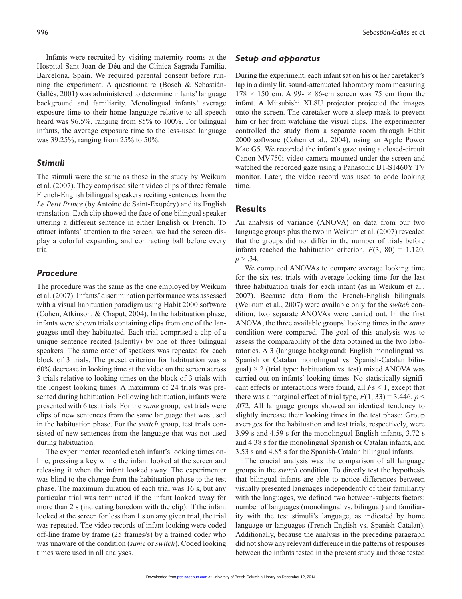Hospital Sant Joan de Déu and the Clínica Sagrada Família, Barcelona, Spain. We required parental consent before running the experiment. A questionnaire (Bosch & Sebastián-Gallés, 2001) was administered to determine infants' language background and familiarity. Monolingual infants' average exposure time to their home language relative to all speech heard was 96.5%, ranging from 85% to 100%. For bilingual infants, the average exposure time to the less-used language was 39.25%, ranging from 25% to 50%.

# *Stimuli*

The stimuli were the same as those in the study by Weikum et al. (2007). They comprised silent video clips of three female French-English bilingual speakers reciting sentences from the *Le Petit Prince* (by Antoine de Saint-Exupéry) and its English translation. Each clip showed the face of one bilingual speaker uttering a different sentence in either English or French. To attract infants' attention to the screen, we had the screen display a colorful expanding and contracting ball before every trial.

# *Procedure*

The procedure was the same as the one employed by Weikum et al. (2007). Infants' discrimination performance was assessed with a visual habituation paradigm using Habit 2000 software (Cohen, Atkinson, & Chaput, 2004). In the habituation phase, infants were shown trials containing clips from one of the languages until they habituated. Each trial comprised a clip of a unique sentence recited (silently) by one of three bilingual speakers. The same order of speakers was repeated for each block of 3 trials. The preset criterion for habituation was a 60% decrease in looking time at the video on the screen across 3 trials relative to looking times on the block of 3 trials with the longest looking times. A maximum of 24 trials was presented during habituation. Following habituation, infants were presented with 6 test trials. For the *same* group, test trials were clips of new sentences from the same language that was used in the habituation phase. For the *switch* group, test trials consisted of new sentences from the language that was not used during habituation.

The experimenter recorded each infant's looking times online, pressing a key while the infant looked at the screen and releasing it when the infant looked away. The experimenter was blind to the change from the habituation phase to the test phase. The maximum duration of each trial was 16 s, but any particular trial was terminated if the infant looked away for more than 2 s (indicating boredom with the clip). If the infant looked at the screen for less than 1 s on any given trial, the trial was repeated. The video records of infant looking were coded off-line frame by frame (25 frames/s) by a trained coder who was unaware of the condition (*same* or *switch*). Coded looking times were used in all analyses.

# *Setup and apparatus*

During the experiment, each infant sat on his or her caretaker's lap in a dimly lit, sound-attenuated laboratory room measuring  $178 \times 150$  cm. A 99-  $\times$  86-cm screen was 75 cm from the infant. A Mitsubishi XL8U projector projected the images onto the screen. The caretaker wore a sleep mask to prevent him or her from watching the visual clips. The experimenter controlled the study from a separate room through Habit 2000 software (Cohen et al., 2004), using an Apple Power Mac G5. We recorded the infant's gaze using a closed-circuit Canon MV750i video camera mounted under the screen and watched the recorded gaze using a Panasonic BT-S1460Y TV monitor. Later, the video record was used to code looking time.

# **Results**

An analysis of variance (ANOVA) on data from our two language groups plus the two in Weikum et al. (2007) revealed that the groups did not differ in the number of trials before infants reached the habituation criterion,  $F(3, 80) = 1.120$ ,  $p > .34$ .

We computed ANOVAs to compare average looking time for the six test trials with average looking time for the last three habituation trials for each infant (as in Weikum et al., 2007). Because data from the French-English bilinguals (Weikum et al., 2007) were available only for the *switch* condition, two separate ANOVAs were carried out. In the first ANOVA, the three available groups' looking times in the *same* condition were compared. The goal of this analysis was to assess the comparability of the data obtained in the two laboratories. A 3 (language background: English monolingual vs. Spanish or Catalan monolingual vs. Spanish-Catalan bilingual)  $\times$  2 (trial type: habituation vs. test) mixed ANOVA was carried out on infants' looking times. No statistically significant effects or interactions were found, all *F*s < 1, except that there was a marginal effect of trial type,  $F(1, 33) = 3.446$ ,  $p <$ .072. All language groups showed an identical tendency to slightly increase their looking times in the test phase: Group averages for the habituation and test trials, respectively, were 3.99 s and 4.59 s for the monolingual English infants, 3.72 s and 4.38 s for the monolingual Spanish or Catalan infants, and 3.53 s and 4.85 s for the Spanish-Catalan bilingual infants.

The crucial analysis was the comparison of all language groups in the *switch* condition. To directly test the hypothesis that bilingual infants are able to notice differences between visually presented languages independently of their familiarity with the languages, we defined two between-subjects factors: number of languages (monolingual vs. bilingual) and familiarity with the test stimuli's language, as indicated by home language or languages (French-English vs. Spanish-Catalan). Additionally, because the analysis in the preceding paragraph did not show any relevant difference in the patterns of responses between the infants tested in the present study and those tested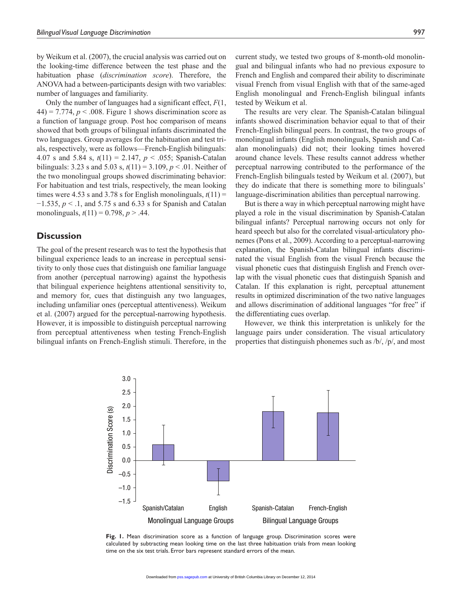by Weikum et al. (2007), the crucial analysis was carried out on the looking-time difference between the test phase and the habituation phase (*discrimination score*). Therefore, the ANOVA had a between-participants design with two variables: number of languages and familiarity.

Only the number of languages had a significant effect, *F*(1,  $44$ ) = 7.774,  $p < .008$ . Figure 1 shows discrimination score as a function of language group. Post hoc comparison of means showed that both groups of bilingual infants discriminated the two languages. Group averages for the habituation and test trials, respectively, were as follows—French-English bilinguals: 4.07 s and 5.84 s, *t*(11) = 2.147, *p* < .055; Spanish-Catalan bilinguals: 3.23 s and 5.03 s, *t*(11) = 3.109, *p* < .01. Neither of the two monolingual groups showed discriminating behavior: For habituation and test trials, respectively, the mean looking times were 4.53 s and 3.78 s for English monolinguals,  $t(11)$  = −1.535, *p* < .1, and 5.75 s and 6.33 s for Spanish and Catalan monolinguals, *t*(11) = 0.798, *p* > .44.

## **Discussion**

The goal of the present research was to test the hypothesis that bilingual experience leads to an increase in perceptual sensitivity to only those cues that distinguish one familiar language from another (perceptual narrowing) against the hypothesis that bilingual experience heightens attentional sensitivity to, and memory for, cues that distinguish any two languages, including unfamiliar ones (perceptual attentiveness). Weikum et al. (2007) argued for the perceptual-narrowing hypothesis. However, it is impossible to distinguish perceptual narrowing from perceptual attentiveness when testing French-English bilingual infants on French-English stimuli. Therefore, in the

current study, we tested two groups of 8-month-old monolingual and bilingual infants who had no previous exposure to French and English and compared their ability to discriminate visual French from visual English with that of the same-aged English monolingual and French-English bilingual infants tested by Weikum et al.

The results are very clear. The Spanish-Catalan bilingual infants showed discrimination behavior equal to that of their French-English bilingual peers. In contrast, the two groups of monolingual infants (English monolinguals, Spanish and Catalan monolinguals) did not; their looking times hovered around chance levels. These results cannot address whether perceptual narrowing contributed to the performance of the French-English bilinguals tested by Weikum et al. (2007), but they do indicate that there is something more to bilinguals' language-discrimination abilities than perceptual narrowing.

But is there a way in which perceptual narrowing might have played a role in the visual discrimination by Spanish-Catalan bilingual infants? Perceptual narrowing occurs not only for heard speech but also for the correlated visual-articulatory phonemes (Pons et al., 2009). According to a perceptual-narrowing explanation, the Spanish-Catalan bilingual infants discriminated the visual English from the visual French because the visual phonetic cues that distinguish English and French overlap with the visual phonetic cues that distinguish Spanish and Catalan. If this explanation is right, perceptual attunement results in optimized discrimination of the two native languages and allows discrimination of additional languages "for free" if the differentiating cues overlap.

However, we think this interpretation is unlikely for the language pairs under consideration. The visual articulatory properties that distinguish phonemes such as /b/, /p/, and most



**Fig. 1.** Mean discrimination score as a function of language group. Discrimination scores were calculated by subtracting mean looking time on the last three habituation trials from mean looking time on the six test trials. Error bars represent standard errors of the mean.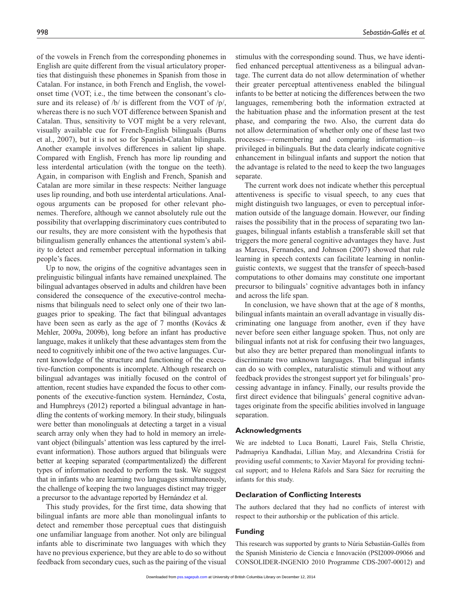of the vowels in French from the corresponding phonemes in English are quite different from the visual articulatory properties that distinguish these phonemes in Spanish from those in Catalan. For instance, in both French and English, the vowelonset time (VOT; i.e., the time between the consonant's closure and its release) of /b/ is different from the VOT of /p/, whereas there is no such VOT difference between Spanish and Catalan. Thus, sensitivity to VOT might be a very relevant, visually available cue for French-English bilinguals (Burns et al., 2007), but it is not so for Spanish-Catalan bilinguals. Another example involves differences in salient lip shape. Compared with English, French has more lip rounding and less interdental articulation (with the tongue on the teeth). Again, in comparison with English and French, Spanish and Catalan are more similar in these respects: Neither language uses lip rounding, and both use interdental articulations. Analogous arguments can be proposed for other relevant phonemes. Therefore, although we cannot absolutely rule out the possibility that overlapping discriminatory cues contributed to our results, they are more consistent with the hypothesis that bilingualism generally enhances the attentional system's ability to detect and remember perceptual information in talking people's faces.

Up to now, the origins of the cognitive advantages seen in prelinguistic bilingual infants have remained unexplained. The bilingual advantages observed in adults and children have been considered the consequence of the executive-control mechanisms that bilinguals need to select only one of their two languages prior to speaking. The fact that bilingual advantages have been seen as early as the age of 7 months (Kovács & Mehler, 2009a, 2009b), long before an infant has productive language, makes it unlikely that these advantages stem from the need to cognitively inhibit one of the two active languages. Current knowledge of the structure and functioning of the executive-function components is incomplete. Although research on bilingual advantages was initially focused on the control of attention, recent studies have expanded the focus to other components of the executive-function system. Hernández, Costa, and Humphreys (2012) reported a bilingual advantage in handling the contents of working memory. In their study, bilinguals were better than monolinguals at detecting a target in a visual search array only when they had to hold in memory an irrelevant object (bilinguals' attention was less captured by the irrelevant information). Those authors argued that bilinguals were better at keeping separated (compartmentalized) the different types of information needed to perform the task. We suggest that in infants who are learning two languages simultaneously, the challenge of keeping the two languages distinct may trigger a precursor to the advantage reported by Hernández et al.

This study provides, for the first time, data showing that bilingual infants are more able than monolingual infants to detect and remember those perceptual cues that distinguish one unfamiliar language from another. Not only are bilingual infants able to discriminate two languages with which they have no previous experience, but they are able to do so without feedback from secondary cues, such as the pairing of the visual

stimulus with the corresponding sound. Thus, we have identified enhanced perceptual attentiveness as a bilingual advantage. The current data do not allow determination of whether their greater perceptual attentiveness enabled the bilingual infants to be better at noticing the differences between the two languages, remembering both the information extracted at the habituation phase and the information present at the test phase, and comparing the two. Also, the current data do not allow determination of whether only one of these last two processes—remembering and comparing information—is privileged in bilinguals. But the data clearly indicate cognitive enhancement in bilingual infants and support the notion that the advantage is related to the need to keep the two languages

The current work does not indicate whether this perceptual attentiveness is specific to visual speech, to any cues that might distinguish two languages, or even to perceptual information outside of the language domain. However, our finding raises the possibility that in the process of separating two languages, bilingual infants establish a transferable skill set that triggers the more general cognitive advantages they have. Just as Marcus, Fernandes, and Johnson (2007) showed that rule learning in speech contexts can facilitate learning in nonlinguistic contexts, we suggest that the transfer of speech-based computations to other domains may constitute one important precursor to bilinguals' cognitive advantages both in infancy and across the life span.

In conclusion, we have shown that at the age of 8 months, bilingual infants maintain an overall advantage in visually discriminating one language from another, even if they have never before seen either language spoken. Thus, not only are bilingual infants not at risk for confusing their two languages, but also they are better prepared than monolingual infants to discriminate two unknown languages. That bilingual infants can do so with complex, naturalistic stimuli and without any feedback provides the strongest support yet for bilinguals' processing advantage in infancy. Finally, our results provide the first direct evidence that bilinguals' general cognitive advantages originate from the specific abilities involved in language separation.

#### **Acknowledgments**

separate.

We are indebted to Luca Bonatti, Laurel Fais, Stella Christie, Padmapriya Kandhadai, Lillian May, and Alexandrina Cristià for providing useful comments; to Xavier Mayoral for providing technical support; and to Helena Ràfols and Sara Sáez for recruiting the infants for this study.

### **Declaration of Conflicting Interests**

The authors declared that they had no conflicts of interest with respect to their authorship or the publication of this article.

#### **Funding**

This research was supported by grants to Núria Sebastián-Gallés from the Spanish Ministerio de Ciencia e Innovación (PSI2009-09066 and CONSOLIDER-INGENIO 2010 Programme CDS-2007-00012) and